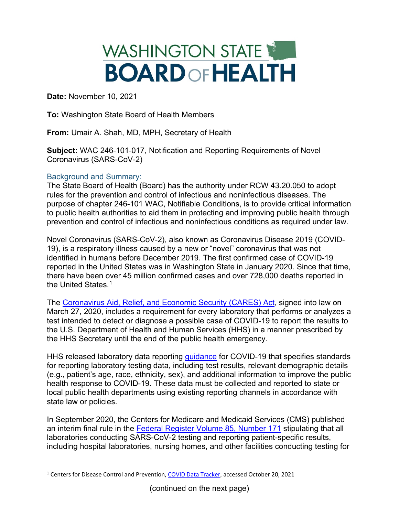

**Date:** November 10, 2021

**To:** Washington State Board of Health Members

**From:** Umair A. Shah, MD, MPH, Secretary of Health

**Subject:** WAC 246-101-017, Notification and Reporting Requirements of Novel Coronavirus (SARS-CoV-2)

## Background and Summary:

The State Board of Health (Board) has the authority under RCW 43.20.050 to adopt rules for the prevention and control of infectious and noninfectious diseases. The purpose of chapter 246-101 WAC, Notifiable Conditions, is to provide critical information to public health authorities to aid them in protecting and improving public health through prevention and control of infectious and noninfectious conditions as required under law.

Novel Coronavirus (SARS-CoV-2), also known as Coronavirus Disease 2019 (COVID-19), is a respiratory illness caused by a new or "novel" coronavirus that was not identified in humans before December 2019. The first confirmed case of COVID-19 reported in the United States was in Washington State in January 2020. Since that time, there have been over 45 million confirmed cases and over 728,000 deaths reported in the United States.<sup>[1](#page-0-0)</sup>

The [Coronavirus Aid, Relief, and Economic Security \(CARES\) Act,](https://www.congress.gov/bill/116th-congress/house-bill/748) signed into law on March 27, 2020, includes a requirement for every laboratory that performs or analyzes a test intended to detect or diagnose a possible case of COVID-19 to report the results to the U.S. Department of Health and Human Services (HHS) in a manner prescribed by the HHS Secretary until the end of the public health emergency.

HHS released laboratory data reporting [guidance](https://www.hhs.gov/sites/default/files/covid-19-laboratory-data-reporting-guidance.pdf) for COVID-19 that specifies standards for reporting laboratory testing data, including test results, relevant demographic details (e.g., patient's age, race, ethnicity, sex), and additional information to improve the public health response to COVID-19. These data must be collected and reported to state or local public health departments using existing reporting channels in accordance with state law or policies.

In September 2020, the Centers for Medicare and Medicaid Services (CMS) published an interim final rule in the [Federal Register Volume 85, Number 171](https://www.govinfo.gov/content/pkg/FR-2020-09-02/pdf/2020-19150.pdf) stipulating that all laboratories conducting SARS-CoV-2 testing and reporting patient-specific results, including hospital laboratories, nursing homes, and other facilities conducting testing for

<span id="page-0-0"></span><sup>&</sup>lt;sup>1</sup> Centers for Disease Control and Prevention, [COVID Data Tracker,](https://covid.cdc.gov/covid-data-tracker/#cases_casesinlast7days) accessed October 20, 2021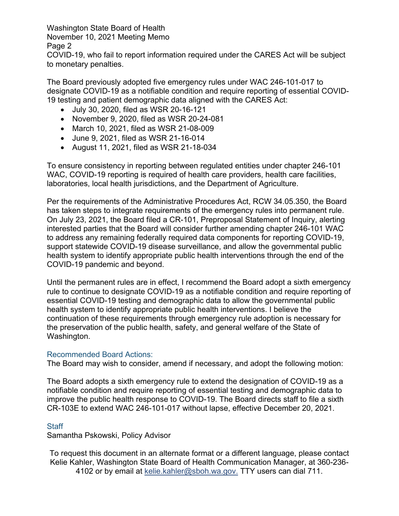Washington State Board of Health November 10, 2021 Meeting Memo

Page 2

COVID-19, who fail to report information required under the CARES Act will be subject to monetary penalties.

The Board previously adopted five emergency rules under WAC 246-101-017 to designate COVID-19 as a notifiable condition and require reporting of essential COVID-19 testing and patient demographic data aligned with the CARES Act:

- July 30, 2020, filed as WSR 20-16-121
- November 9, 2020, filed as WSR 20-24-081
- March 10, 2021, filed as WSR 21-08-009
- June 9, 2021, filed as WSR 21-16-014
- August 11, 2021, filed as WSR 21-18-034

To ensure consistency in reporting between regulated entities under chapter 246-101 WAC, COVID-19 reporting is required of health care providers, health care facilities, laboratories, local health jurisdictions, and the Department of Agriculture.

Per the requirements of the Administrative Procedures Act, RCW 34.05.350, the Board has taken steps to integrate requirements of the emergency rules into permanent rule. On July 23, 2021, the Board filed a CR-101, Preproposal Statement of Inquiry, alerting interested parties that the Board will consider further amending chapter 246-101 WAC to address any remaining federally required data components for reporting COVID-19, support statewide COVID-19 disease surveillance, and allow the governmental public health system to identify appropriate public health interventions through the end of the COVID-19 pandemic and beyond.

Until the permanent rules are in effect, I recommend the Board adopt a sixth emergency rule to continue to designate COVID-19 as a notifiable condition and require reporting of essential COVID-19 testing and demographic data to allow the governmental public health system to identify appropriate public health interventions. I believe the continuation of these requirements through emergency rule adoption is necessary for the preservation of the public health, safety, and general welfare of the State of Washington.

## Recommended Board Actions:

The Board may wish to consider, amend if necessary, and adopt the following motion:

The Board adopts a sixth emergency rule to extend the designation of COVID-19 as a notifiable condition and require reporting of essential testing and demographic data to improve the public health response to COVID-19. The Board directs staff to file a sixth CR-103E to extend WAC 246-101-017 without lapse, effective December 20, 2021.

## **Staff**

Samantha Pskowski, Policy Advisor

To request this document in an alternate format or a different language, please contact Kelie Kahler, Washington State Board of Health Communication Manager, at 360-236- 4102 or by email at [kelie.kahler@sboh.wa.gov.](mailto:kelie.Kahler@sboh.wa.gov) TTY users can dial 711.